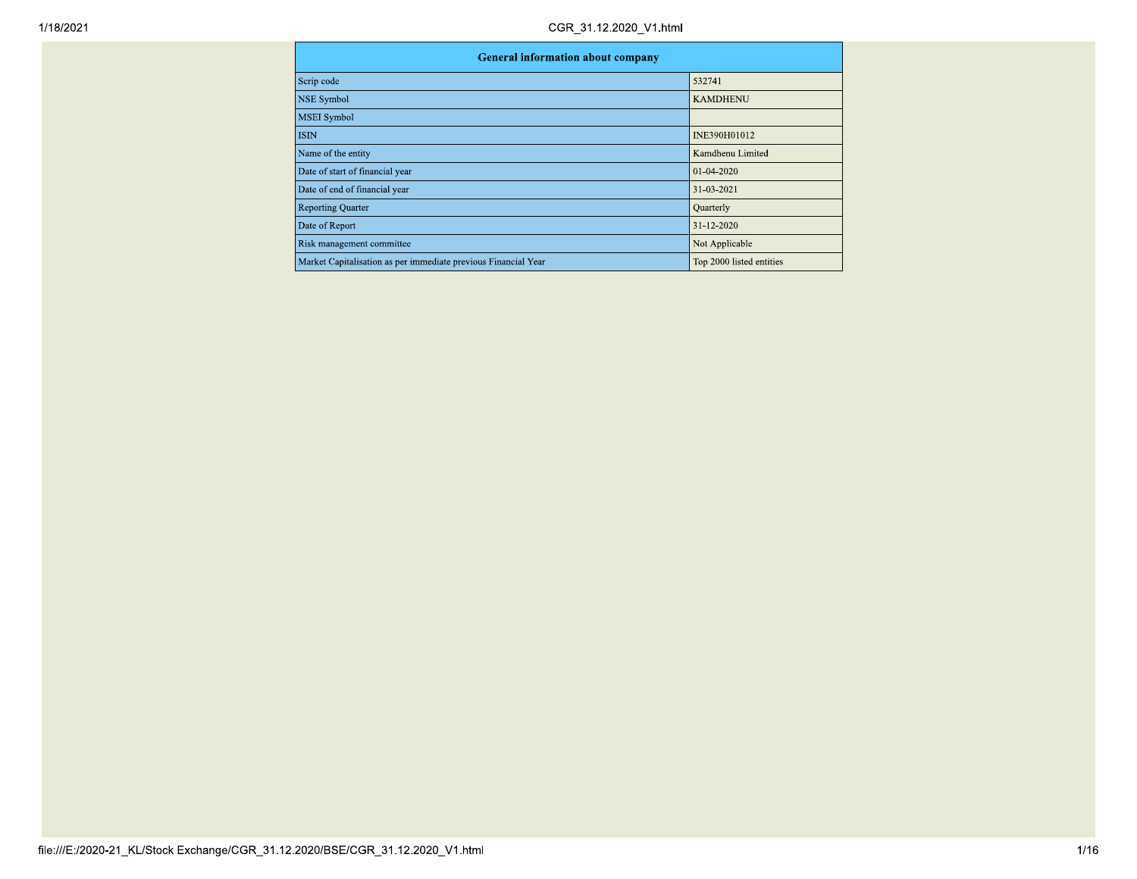| <b>General information about company</b>                       |                          |  |  |  |  |  |  |
|----------------------------------------------------------------|--------------------------|--|--|--|--|--|--|
| Scrip code                                                     | 532741                   |  |  |  |  |  |  |
| <b>NSE Symbol</b>                                              | <b>KAMDHENU</b>          |  |  |  |  |  |  |
| <b>MSEI</b> Symbol                                             |                          |  |  |  |  |  |  |
| <b>ISIN</b>                                                    | INE390H01012             |  |  |  |  |  |  |
| Name of the entity                                             | Kamdhenu Limited         |  |  |  |  |  |  |
| Date of start of financial year                                | $01-04-2020$             |  |  |  |  |  |  |
| Date of end of financial year                                  | 31-03-2021               |  |  |  |  |  |  |
| <b>Reporting Quarter</b>                                       | Quarterly                |  |  |  |  |  |  |
| Date of Report                                                 | 31-12-2020               |  |  |  |  |  |  |
| Risk management committee                                      | Not Applicable           |  |  |  |  |  |  |
| Market Capitalisation as per immediate previous Financial Year | Top 2000 listed entities |  |  |  |  |  |  |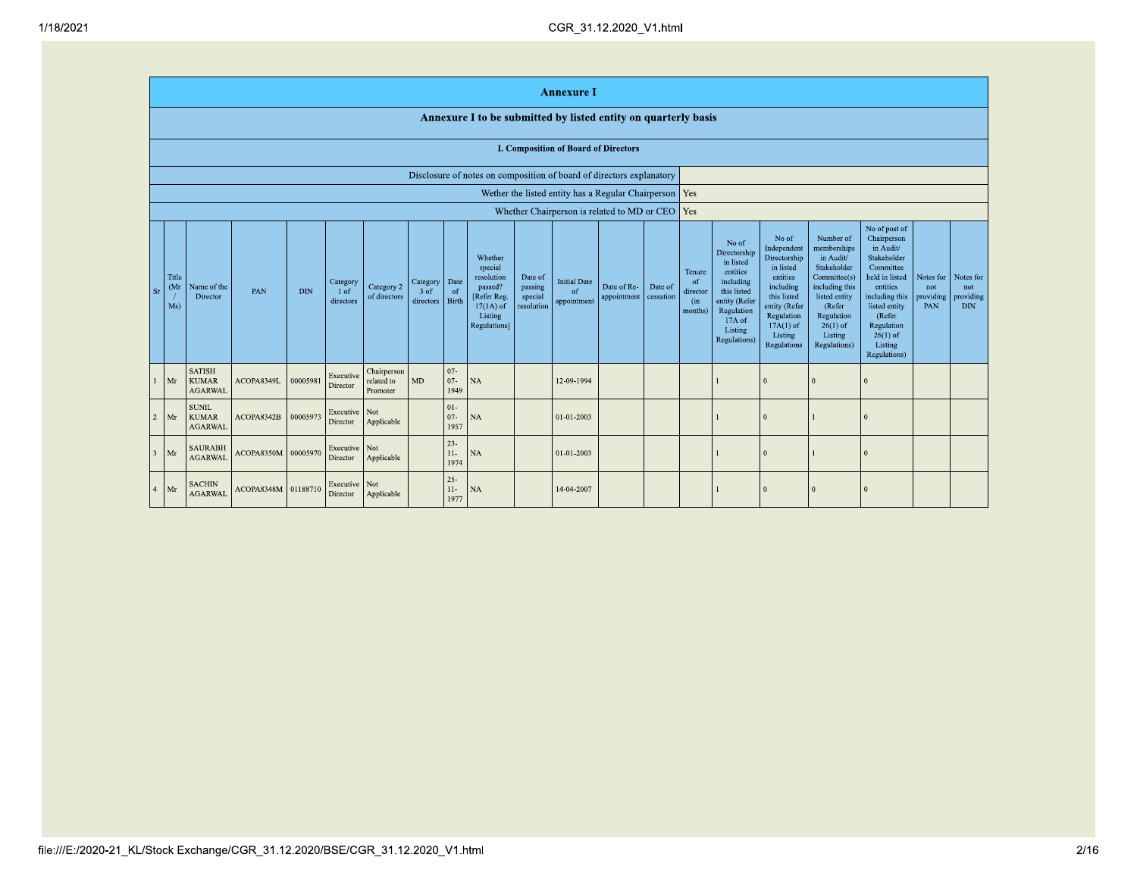|                |                                                                      |                                                 |                     |            |                                 |                                       |                                 |                            |                                                                                                              |                                             | <b>Annexure I</b>                           |                            |                      |                                                       |                                                                                                                                                        |                                                                                                                                                                   |                                                                                                                                                                          |                                                                                                                                                                                                         |                                      |                                             |
|----------------|----------------------------------------------------------------------|-------------------------------------------------|---------------------|------------|---------------------------------|---------------------------------------|---------------------------------|----------------------------|--------------------------------------------------------------------------------------------------------------|---------------------------------------------|---------------------------------------------|----------------------------|----------------------|-------------------------------------------------------|--------------------------------------------------------------------------------------------------------------------------------------------------------|-------------------------------------------------------------------------------------------------------------------------------------------------------------------|--------------------------------------------------------------------------------------------------------------------------------------------------------------------------|---------------------------------------------------------------------------------------------------------------------------------------------------------------------------------------------------------|--------------------------------------|---------------------------------------------|
|                |                                                                      |                                                 |                     |            |                                 |                                       |                                 |                            | Annexure I to be submitted by listed entity on quarterly basis                                               |                                             |                                             |                            |                      |                                                       |                                                                                                                                                        |                                                                                                                                                                   |                                                                                                                                                                          |                                                                                                                                                                                                         |                                      |                                             |
|                |                                                                      |                                                 |                     |            |                                 |                                       |                                 |                            |                                                                                                              |                                             | <b>I. Composition of Board of Directors</b> |                            |                      |                                                       |                                                                                                                                                        |                                                                                                                                                                   |                                                                                                                                                                          |                                                                                                                                                                                                         |                                      |                                             |
|                | Disclosure of notes on composition of board of directors explanatory |                                                 |                     |            |                                 |                                       |                                 |                            |                                                                                                              |                                             |                                             |                            |                      |                                                       |                                                                                                                                                        |                                                                                                                                                                   |                                                                                                                                                                          |                                                                                                                                                                                                         |                                      |                                             |
|                | Wether the listed entity has a Regular Chairperson   Yes             |                                                 |                     |            |                                 |                                       |                                 |                            |                                                                                                              |                                             |                                             |                            |                      |                                                       |                                                                                                                                                        |                                                                                                                                                                   |                                                                                                                                                                          |                                                                                                                                                                                                         |                                      |                                             |
|                |                                                                      |                                                 |                     |            |                                 |                                       |                                 |                            |                                                                                                              |                                             | Whether Chairperson is related to MD or CEO |                            |                      | Yes                                                   |                                                                                                                                                        |                                                                                                                                                                   |                                                                                                                                                                          |                                                                                                                                                                                                         |                                      |                                             |
| $S_I$          | Title<br>(Mr<br>Ms)                                                  | Name of the<br>Director                         | PAN                 | <b>DIN</b> | Category<br>$1$ of<br>directors | Category 2<br>of directors            | Category<br>$3$ of<br>directors | Date<br>of<br><b>Birth</b> | Whether<br>special<br>resolution<br>passed?<br>[Refer Reg.<br>$17(1A)$ of<br>Listing<br><b>Regulations</b> ] | Date of<br>passing<br>special<br>resolution | <b>Initial Date</b><br>of<br>appointment    | Date of Re-<br>appointment | Date of<br>cessation | Tenure<br><sup>of</sup><br>director<br>(in<br>months) | No of<br>Directorship<br>in listed<br>entities<br>including<br>this listed<br>entity (Refer<br>Regulation<br>17A of<br>Listing<br><b>Regulations</b> ) | No of<br>Independent<br>Directorship<br>in listed<br>entities<br>including<br>this listed<br>entity (Refer<br>Regulation<br>$17A(1)$ of<br>Listing<br>Regulations | Number of<br>memberships<br>in Audit/<br>Stakeholder<br>Committee(s)<br>including this<br>listed entity<br>(Refer<br>Regulation<br>$26(1)$ of<br>Listing<br>Regulations) | No of post of<br>Chairperson<br>in Audit/<br>Stakeholder<br>Committee<br>held in listed<br>entities<br>including this<br>listed entity<br>(Refer<br>Regulation<br>$26(1)$ of<br>Listing<br>Regulations) | Notes for<br>not<br>providing<br>PAN | Notes for<br>not<br>providing<br><b>DIN</b> |
|                | Mr                                                                   | <b>SATISH</b><br><b>KUMAR</b><br><b>AGARWAL</b> | ACOPA8349L          | 00005981   | Executive<br>Director           | Chairperson<br>related to<br>Promoter | MD                              | $07 -$<br>$07 -$<br>1949   | <b>NA</b>                                                                                                    |                                             | 12-09-1994                                  |                            |                      |                                                       |                                                                                                                                                        |                                                                                                                                                                   |                                                                                                                                                                          |                                                                                                                                                                                                         |                                      |                                             |
| $\overline{2}$ | Mr                                                                   | <b>SUNIL</b><br><b>KUMAR</b><br><b>AGARWAL</b>  | ACOPA8342B          | 00005973   | Executive<br>Director           | Not<br>Applicable                     |                                 | $01-$<br>$07 -$<br>1957    | <b>NA</b>                                                                                                    |                                             | 01-01-2003                                  |                            |                      |                                                       |                                                                                                                                                        |                                                                                                                                                                   |                                                                                                                                                                          |                                                                                                                                                                                                         |                                      |                                             |
| $\overline{3}$ | Mr                                                                   | <b>SAURABH</b><br><b>AGARWAL</b>                | ACOPA8350M 00005970 |            | Executive 1<br>Director         | Not<br>Applicable                     |                                 | $23 -$<br>$11-$<br>1974    | <b>NA</b>                                                                                                    |                                             | 01-01-2003                                  |                            |                      |                                                       |                                                                                                                                                        |                                                                                                                                                                   |                                                                                                                                                                          |                                                                                                                                                                                                         |                                      |                                             |
| $\overline{4}$ | Mr                                                                   | <b>SACHIN</b><br><b>AGARWAL</b>                 | ACOPA8348M 01188710 |            | Executive Not<br>Director       | Applicable                            |                                 | $25 -$<br>$11-$<br>1977    | NA                                                                                                           |                                             | 14-04-2007                                  |                            |                      |                                                       |                                                                                                                                                        |                                                                                                                                                                   |                                                                                                                                                                          | $\Omega$                                                                                                                                                                                                |                                      |                                             |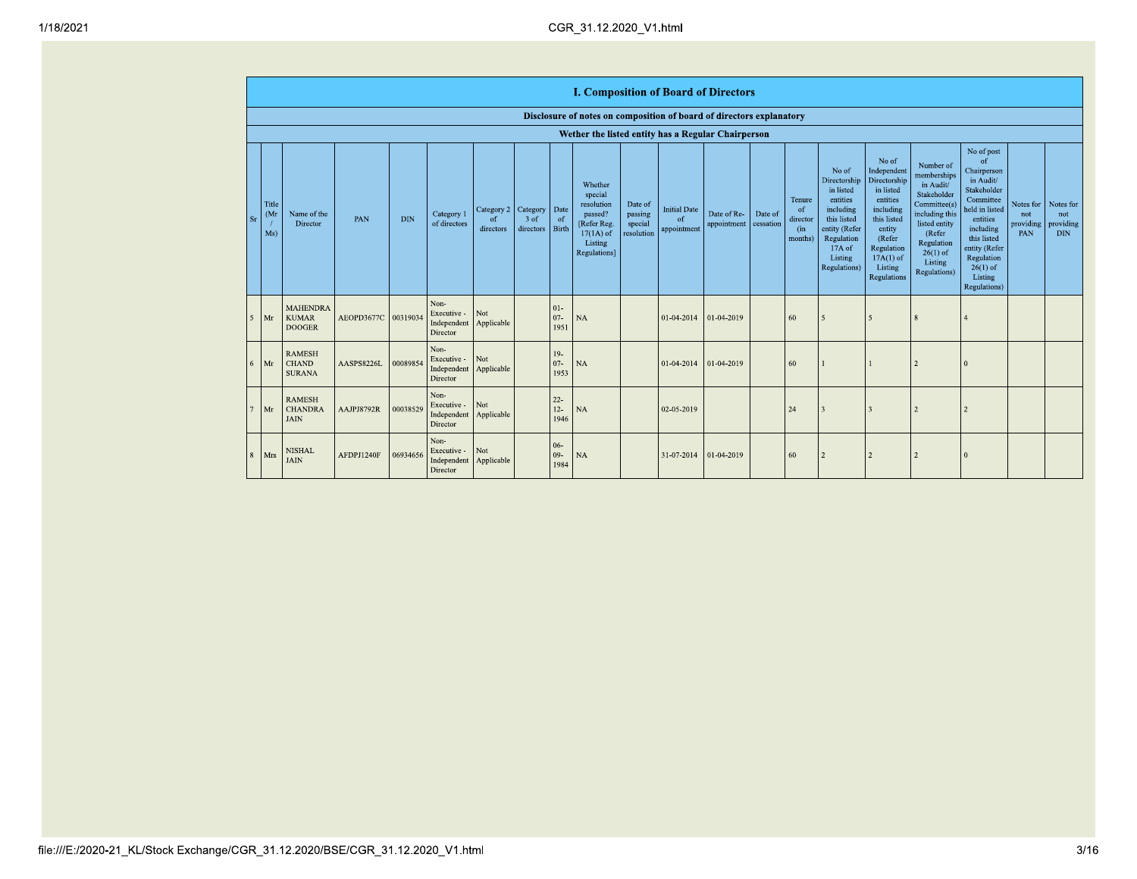|                       |                                   |                                                  |                     |            |                                                |                                          |                               |                              | <b>I. Composition of Board of Directors</b>                                                          |                                             |                                          |                            |                      |                                                       |                                                                                                                                                  |                                                                                                                                                                      |                                                                                                                                                                          |                                                                                                                                                                                                            |                         |                                                       |
|-----------------------|-----------------------------------|--------------------------------------------------|---------------------|------------|------------------------------------------------|------------------------------------------|-------------------------------|------------------------------|------------------------------------------------------------------------------------------------------|---------------------------------------------|------------------------------------------|----------------------------|----------------------|-------------------------------------------------------|--------------------------------------------------------------------------------------------------------------------------------------------------|----------------------------------------------------------------------------------------------------------------------------------------------------------------------|--------------------------------------------------------------------------------------------------------------------------------------------------------------------------|------------------------------------------------------------------------------------------------------------------------------------------------------------------------------------------------------------|-------------------------|-------------------------------------------------------|
|                       |                                   |                                                  |                     |            |                                                |                                          |                               |                              | Disclosure of notes on composition of board of directors explanatory                                 |                                             |                                          |                            |                      |                                                       |                                                                                                                                                  |                                                                                                                                                                      |                                                                                                                                                                          |                                                                                                                                                                                                            |                         |                                                       |
|                       |                                   |                                                  |                     |            |                                                |                                          |                               |                              | Wether the listed entity has a Regular Chairperson                                                   |                                             |                                          |                            |                      |                                                       |                                                                                                                                                  |                                                                                                                                                                      |                                                                                                                                                                          |                                                                                                                                                                                                            |                         |                                                       |
| -Sr                   | Title<br>(M <sub>1</sub> )<br>Ms) | Name of the<br>Director                          | PAN                 | <b>DIN</b> | Category 1<br>of directors                     | Category 2<br><sup>of</sup><br>directors | Category<br>3 of<br>directors | Date<br>- of<br><b>Birth</b> | Whether<br>special<br>resolution<br>passed?<br>[Refer Reg.<br>$17(1A)$ of<br>Listing<br>Regulations] | Date of<br>passing<br>special<br>resolution | <b>Initial Date</b><br>of<br>appointment | Date of Re-<br>appointment | Date of<br>cessation | Tenure<br><sub>of</sub><br>director<br>(in<br>months) | No of<br>Directorship<br>in listed<br>entities<br>including<br>this listed<br>entity (Refer<br>Regulation<br>$17A$ of<br>Listing<br>Regulations) | No of<br>Independent<br>Directorship<br>in listed<br>entities<br>including<br>this listed<br>entity<br>(Refer<br>Regulation<br>$17A(1)$ of<br>Listing<br>Regulations | Number of<br>memberships<br>in Audit/<br>Stakeholder<br>Committee(s)<br>including this<br>listed entity<br>(Refer<br>Regulation<br>$26(1)$ of<br>Listing<br>Regulations) | No of post<br>of<br>Chairperson<br>in Audit/<br>Stakeholder<br>Committee<br>held in listed<br>entities<br>including<br>this listed<br>entity (Refer<br>Regulation<br>$26(1)$ of<br>Listing<br>Regulations) | Notes for<br>not<br>PAN | Notes for<br>not<br>providing providing<br><b>DIN</b> |
| $\tilde{\mathcal{L}}$ | Mr                                | <b>MAHENDRA</b><br><b>KUMAR</b><br><b>DOOGER</b> | AEOPD3677C 00319034 |            | Non-<br>Executive -<br>Independent<br>Director | Not<br>Applicable                        |                               | $01 -$<br>$07 -$<br>1951     | NA                                                                                                   |                                             | 01-04-2014                               | 01-04-2019                 |                      | 60                                                    | $\overline{\phantom{0}}$                                                                                                                         | 5                                                                                                                                                                    | 8                                                                                                                                                                        |                                                                                                                                                                                                            |                         |                                                       |
| 6                     | Mr                                | <b>RAMESH</b><br><b>CHAND</b><br><b>SURANA</b>   | AASPS8226L          | 00089854   | Non-<br>Executive -<br>Independent<br>Director | Not<br>Applicable                        |                               | $19-$<br>$07 -$<br>1953      | NA                                                                                                   |                                             | 01-04-2014                               | 01-04-2019                 |                      | 60                                                    |                                                                                                                                                  |                                                                                                                                                                      | $\overline{2}$                                                                                                                                                           | $\overline{0}$                                                                                                                                                                                             |                         |                                                       |
|                       | Mr                                | <b>RAMESH</b><br><b>CHANDRA</b><br><b>JAIN</b>   | AAJPJ8792R          | 00038529   | Non-<br>Executive -<br>Independent<br>Director | Not<br>Applicable                        |                               | $22 -$<br>$12 -$<br>1946     | <b>NA</b>                                                                                            |                                             | 02-05-2019                               |                            |                      | 24                                                    | $\overline{\mathbf{3}}$                                                                                                                          | $\overline{3}$                                                                                                                                                       | $\overline{2}$                                                                                                                                                           | $\overline{2}$                                                                                                                                                                                             |                         |                                                       |
|                       | Mrs                               | <b>NISHAL</b><br><b>JAIN</b>                     | AFDPJ1240F          | 06934656   | Non-<br>Executive -<br>Independent<br>Director | Not<br>Applicable                        |                               | $06-$<br>$09 -$<br>1984      | <b>NA</b>                                                                                            |                                             | 31-07-2014                               | 01-04-2019                 |                      | 60                                                    |                                                                                                                                                  | $\overline{\mathcal{L}}$                                                                                                                                             | $\overline{2}$                                                                                                                                                           | $\Omega$                                                                                                                                                                                                   |                         |                                                       |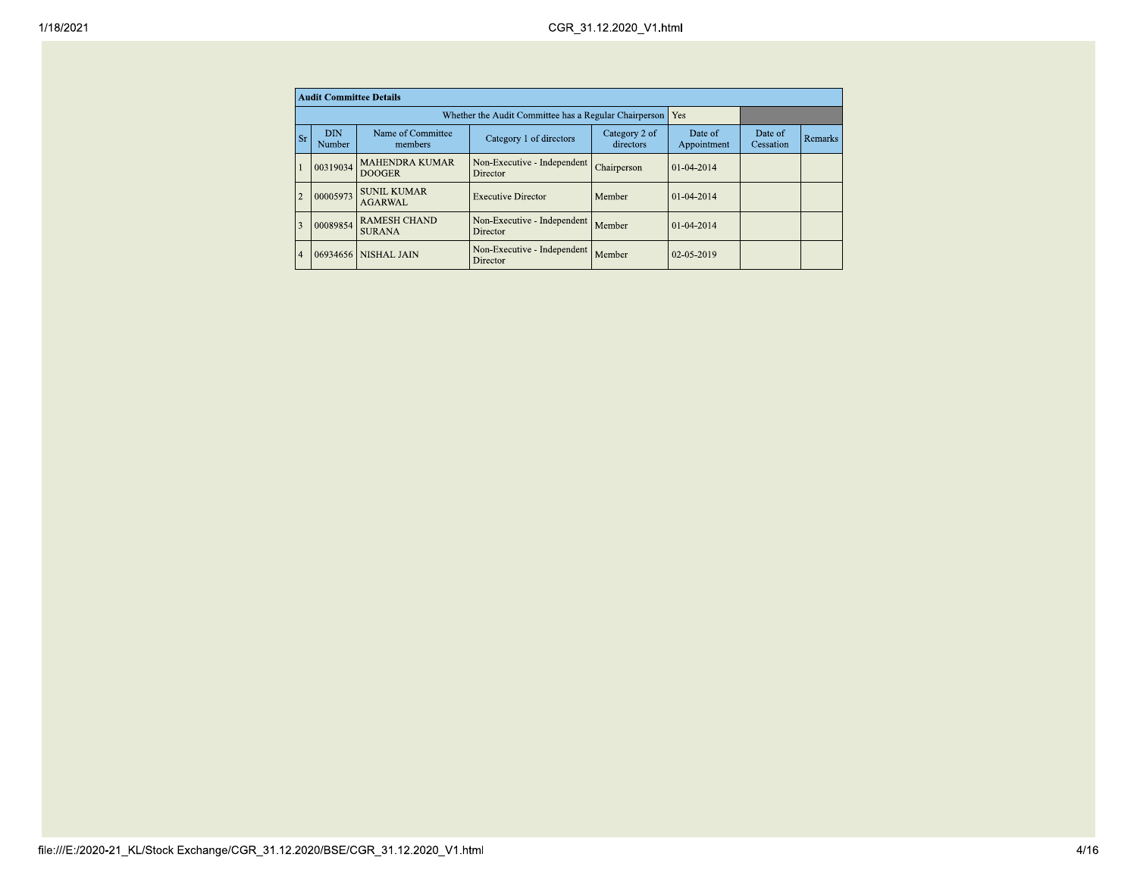|                |                      | <b>Audit Committee Details</b>         |                                                       |                            |                        |                      |                |
|----------------|----------------------|----------------------------------------|-------------------------------------------------------|----------------------------|------------------------|----------------------|----------------|
|                |                      |                                        | Whether the Audit Committee has a Regular Chairperson |                            | Yes                    |                      |                |
| <b>Sr</b>      | <b>DIN</b><br>Number | Name of Committee<br>members           | Category 1 of directors                               | Category 2 of<br>directors | Date of<br>Appointment | Date of<br>Cessation | <b>Remarks</b> |
|                | 00319034             | <b>MAHENDRA KUMAR</b><br><b>DOOGER</b> | Non-Executive - Independent<br>Director               | Chairperson                | $01 - 04 - 2014$       |                      |                |
| $\overline{2}$ | 00005973             | <b>SUNIL KUMAR</b><br><b>AGARWAL</b>   | <b>Executive Director</b>                             | Member                     | $01-04-2014$           |                      |                |
| 3              | 00089854             | <b>RAMESH CHAND</b><br><b>SURANA</b>   | Non-Executive - Independent<br>Director               | Member                     | $01-04-2014$           |                      |                |
| $\overline{4}$ |                      | 06934656 NISHAL JAIN                   | Non-Executive - Independent<br>Director               | Member                     | $02 - 05 - 2019$       |                      |                |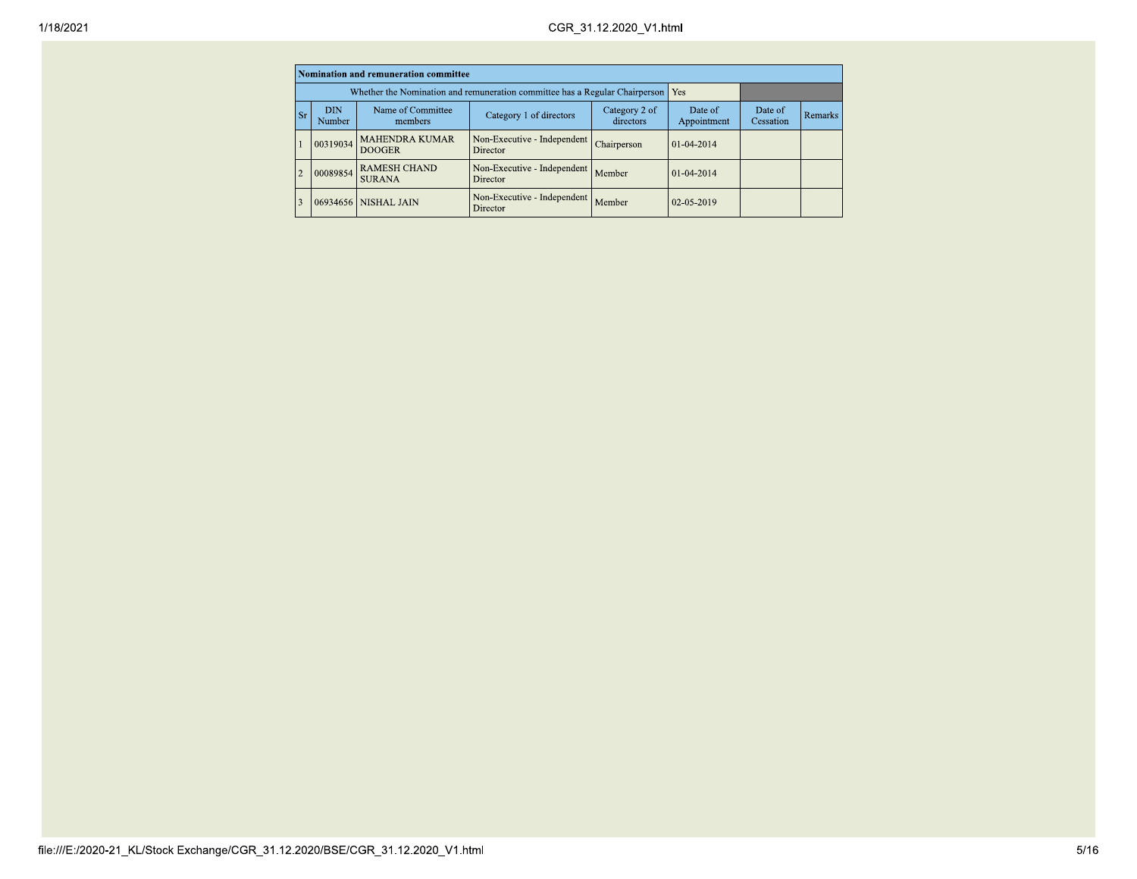|                |                      | Nomination and remuneration committee                                                 |                                                                             |             |                   |                      |         |
|----------------|----------------------|---------------------------------------------------------------------------------------|-----------------------------------------------------------------------------|-------------|-------------------|----------------------|---------|
|                |                      |                                                                                       | Whether the Nomination and remuneration committee has a Regular Chairperson |             | <b>Yes</b>        |                      |         |
| <b>Sr</b>      | <b>DIN</b><br>Number | Name of Committee<br>Category 2 of<br>Category 1 of directors<br>directors<br>members |                                                                             |             |                   | Date of<br>Cessation | Remarks |
| $\mathbf{1}$   | 00319034             | <b>MAHENDRA KUMAR</b><br><b>DOOGER</b>                                                | Non-Executive - Independent<br>Director                                     | Chairperson | $101 - 04 - 2014$ |                      |         |
| $\overline{2}$ | 00089854             | <b>RAMESH CHAND</b><br><b>SURANA</b>                                                  | Non-Executive - Independent<br>Director                                     | Member      | $01-04-2014$      |                      |         |
| 3              |                      | 06934656 NISHAL JAIN                                                                  | Non-Executive - Independent<br>Director                                     | Member      | $02-05-2019$      |                      |         |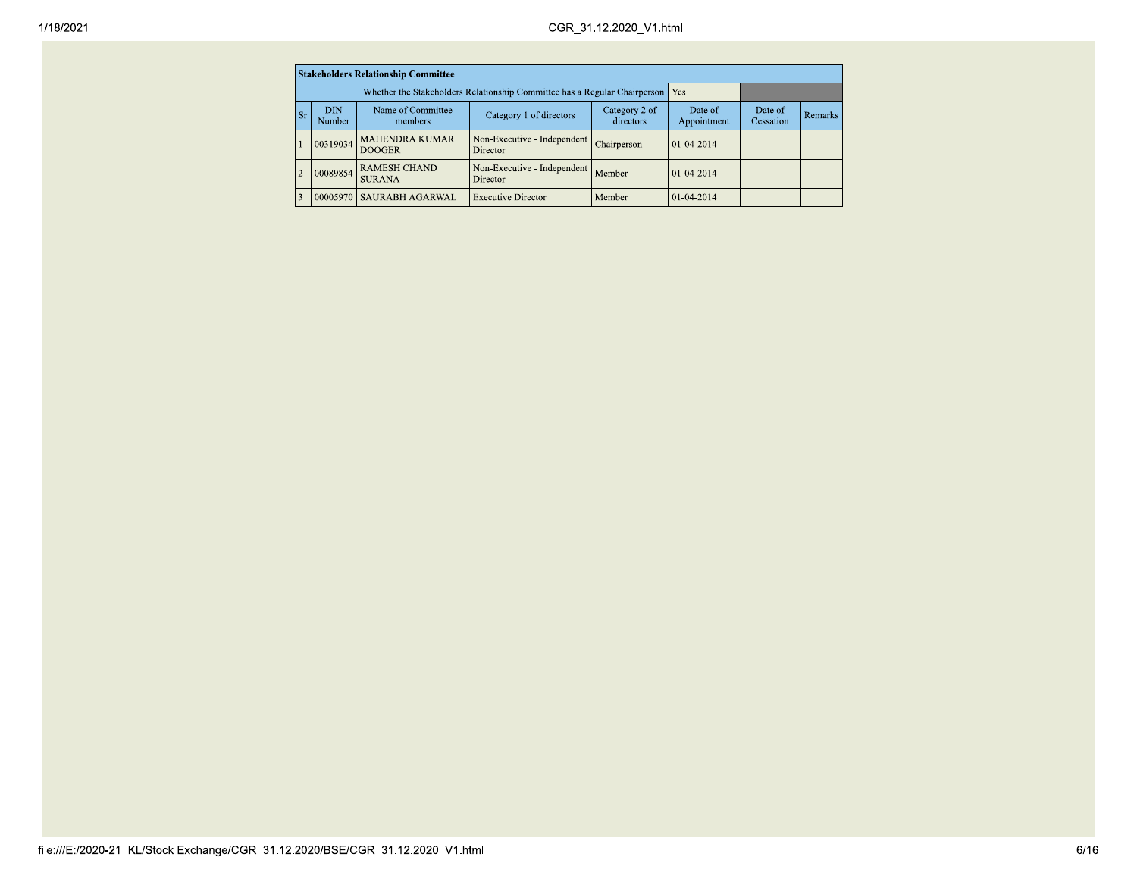| 1/18/2021 |               |                      |                                            |                                                                                 | CGR_31.12.2020_V1.html     |                        |                      |         |
|-----------|---------------|----------------------|--------------------------------------------|---------------------------------------------------------------------------------|----------------------------|------------------------|----------------------|---------|
|           |               |                      | <b>Stakeholders Relationship Committee</b> |                                                                                 |                            |                        |                      |         |
|           |               |                      |                                            | Whether the Stakeholders Relationship Committee has a Regular Chairperson   Yes |                            |                        |                      |         |
|           | $\vert$ Sr    | <b>DIN</b><br>Number | Name of Committee<br>members               | Category 1 of directors                                                         | Category 2 of<br>directors | Date of<br>Appointment | Date of<br>Cessation | Remarks |
|           |               | 00319034             | MAHENDRA KUMAR<br><b>DOOGER</b>            | Non-Executive - Independent Chairperson<br>Director                             |                            | $01-04-2014$           |                      |         |
|           |               |                      | 00089854 RAMESH CHAND<br><b>SURANA</b>     | Non-Executive - Independent Member<br>Director                                  |                            | 01-04-2014             |                      |         |
|           | $\mathcal{R}$ |                      | 00005970 SAURABH AGARWAL                   | <b>Executive Director</b>                                                       | Member                     | $01-04-2014$           |                      |         |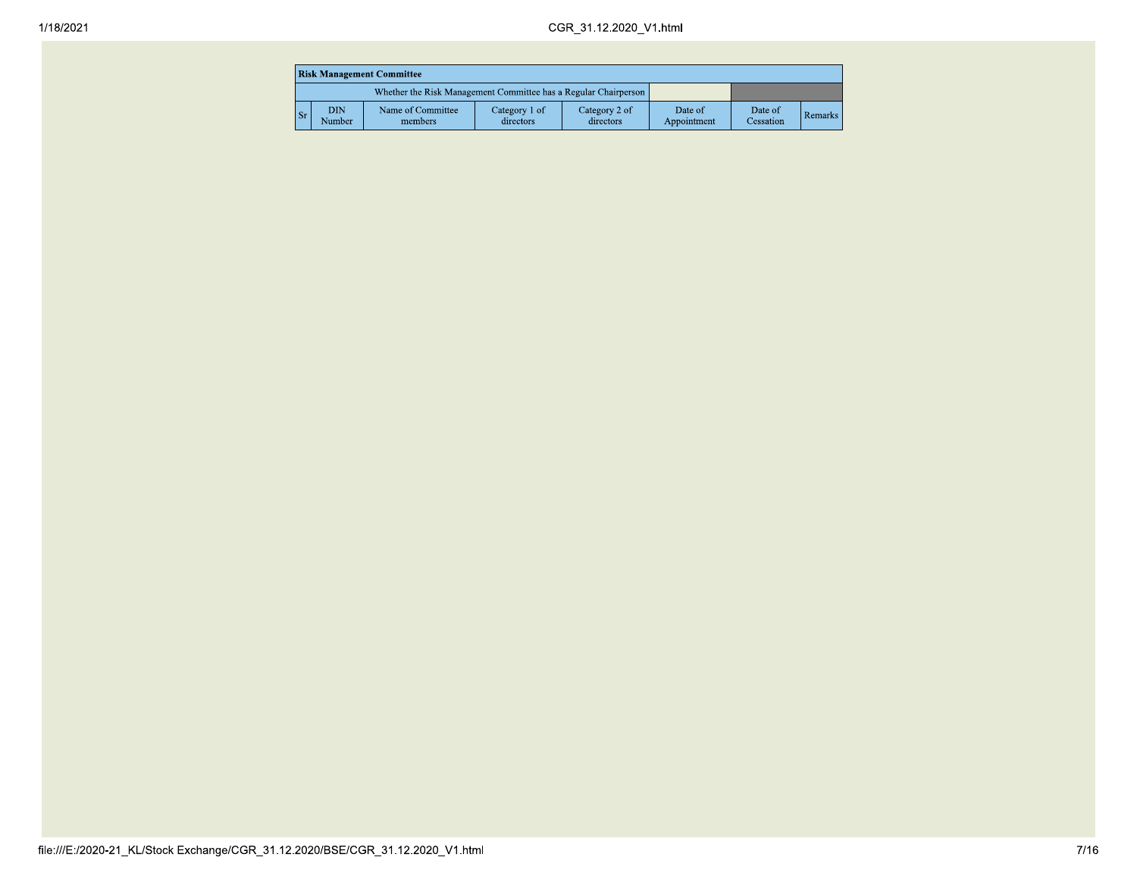|                                                                 | <b>Risk Management Committee</b> |                              |                            |                            |                        |                      |                |  |  |  |
|-----------------------------------------------------------------|----------------------------------|------------------------------|----------------------------|----------------------------|------------------------|----------------------|----------------|--|--|--|
| Whether the Risk Management Committee has a Regular Chairperson |                                  |                              |                            |                            |                        |                      |                |  |  |  |
| Sr                                                              | <b>DIN</b><br>Number             | Name of Committee<br>members | Category 1 of<br>directors | Category 2 of<br>directors | Date of<br>Appointment | Date of<br>Cessation | <b>Remarks</b> |  |  |  |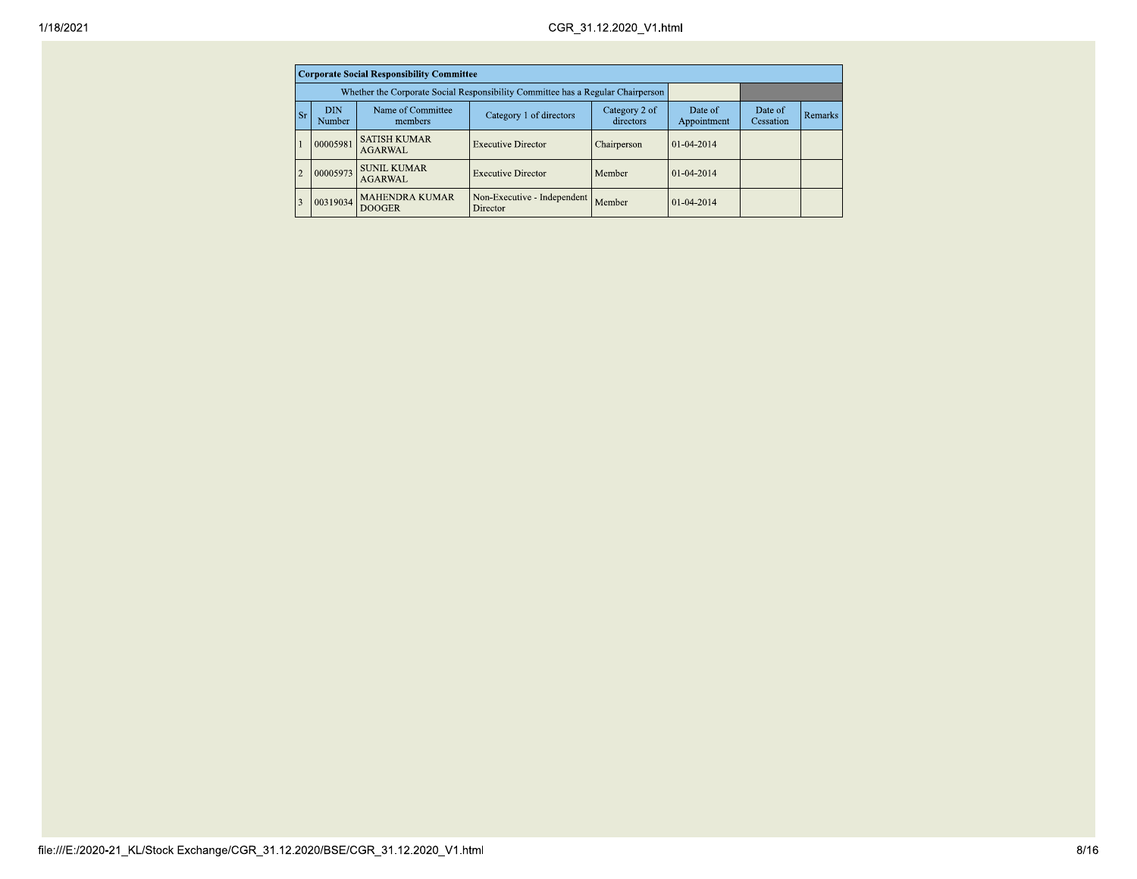|                |                      | <b>Corporate Social Responsibility Committee</b>                                      |                                                                                 |               |                   |                      |         |
|----------------|----------------------|---------------------------------------------------------------------------------------|---------------------------------------------------------------------------------|---------------|-------------------|----------------------|---------|
|                |                      |                                                                                       | Whether the Corporate Social Responsibility Committee has a Regular Chairperson |               |                   |                      |         |
| <b>Sr</b>      | <b>DIN</b><br>Number | Name of Committee<br>Category 2 of<br>Category 1 of directors<br>directors<br>members |                                                                                 |               |                   | Date of<br>Cessation | Remarks |
| $\mathbf{1}$   | 00005981             | <b>SATISH KUMAR</b><br><b>AGARWAL</b>                                                 | <b>Executive Director</b>                                                       | Chairperson   | $101 - 04 - 2014$ |                      |         |
| $\overline{c}$ | 00005973             | <b>SUNIL KUMAR</b><br><b>AGARWAL</b>                                                  | <b>Executive Director</b>                                                       | Member        | $101 - 04 - 2014$ |                      |         |
| 3              | 00319034             | <b>MAHENDRA KUMAR</b><br><b>DOOGER</b>                                                | Non-Executive - Independent<br>Director                                         | <b>Member</b> | $101 - 04 - 2014$ |                      |         |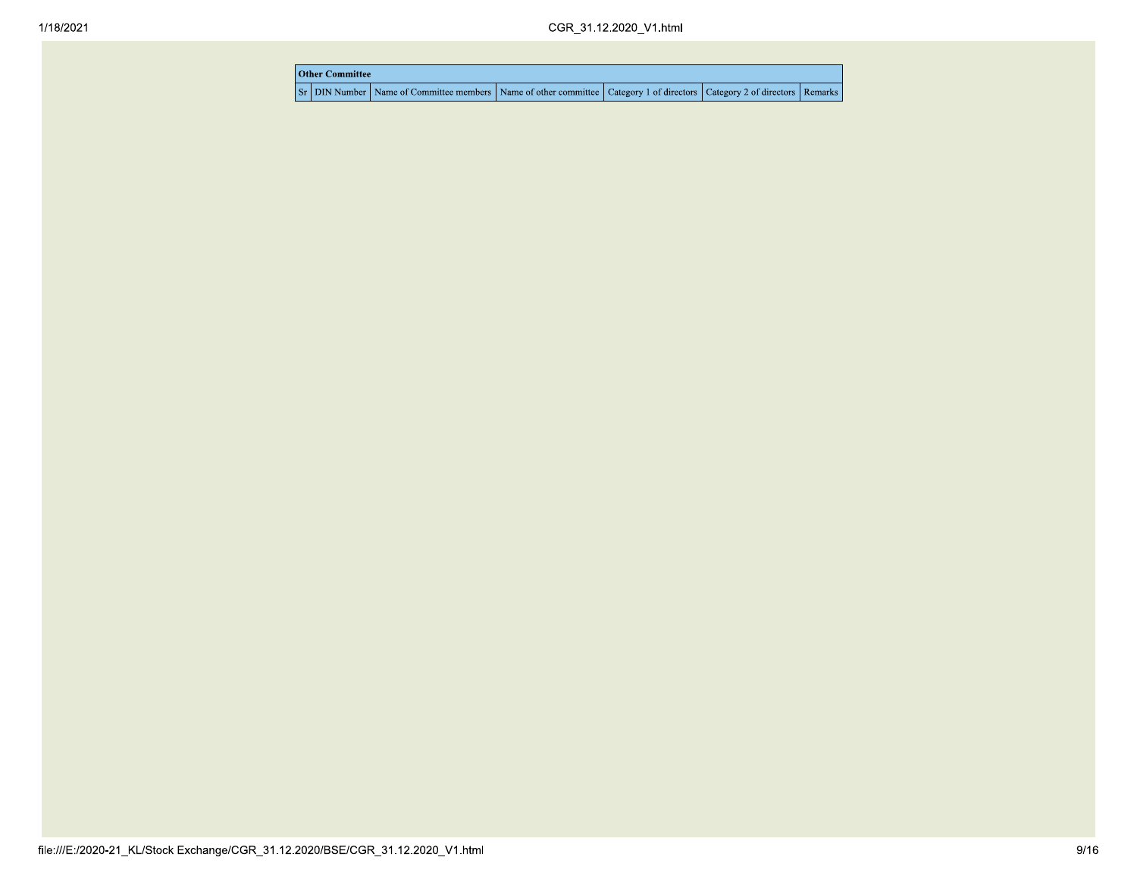| <b>Other Committee</b> |                                                                                                                                     |  |  |  |  |  |  |  |  |
|------------------------|-------------------------------------------------------------------------------------------------------------------------------------|--|--|--|--|--|--|--|--|
|                        | Sr   DIN Number   Name of Committee members   Name of other committee   Category 1 of directors   Category 2 of directors   Remarks |  |  |  |  |  |  |  |  |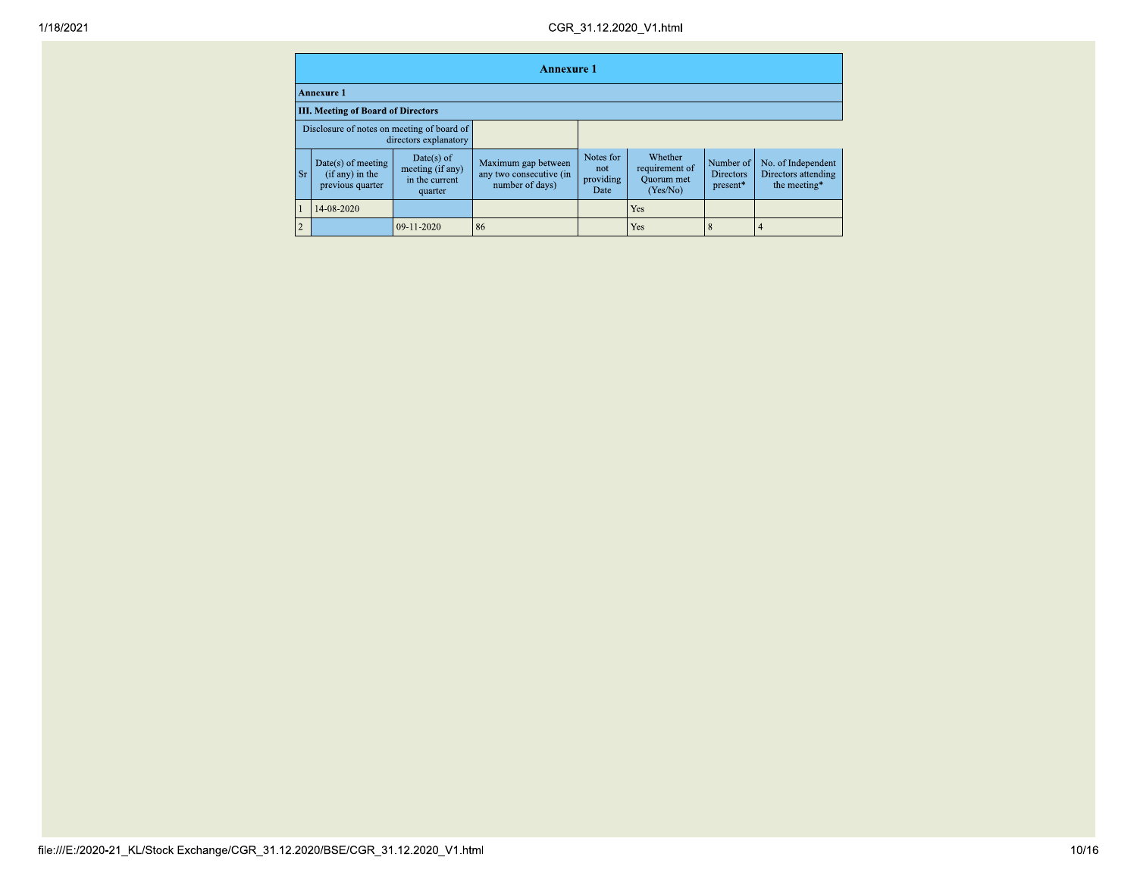|    | <b>Annexure 1</b>                                                   |                                                               |                                                                   |                                       |                                                     |                                           |                                                           |  |  |  |
|----|---------------------------------------------------------------------|---------------------------------------------------------------|-------------------------------------------------------------------|---------------------------------------|-----------------------------------------------------|-------------------------------------------|-----------------------------------------------------------|--|--|--|
|    | Annexure 1                                                          |                                                               |                                                                   |                                       |                                                     |                                           |                                                           |  |  |  |
|    | <b>III. Meeting of Board of Directors</b>                           |                                                               |                                                                   |                                       |                                                     |                                           |                                                           |  |  |  |
|    | Disclosure of notes on meeting of board of<br>directors explanatory |                                                               |                                                                   |                                       |                                                     |                                           |                                                           |  |  |  |
| Sr | Date(s) of meeting<br>(if any) in the<br>previous quarter           | $Date(s)$ of<br>meeting (if any)<br>in the current<br>quarter | Maximum gap between<br>any two consecutive (in<br>number of days) | Notes for<br>not<br>providing<br>Date | Whether<br>requirement of<br>Quorum met<br>(Yes/No) | Number of<br><b>Directors</b><br>present* | No. of Independent<br>Directors attending<br>the meeting* |  |  |  |
|    | 14-08-2020                                                          |                                                               |                                                                   |                                       | <b>Yes</b>                                          |                                           |                                                           |  |  |  |
| 2  |                                                                     | 09-11-2020                                                    | 86                                                                |                                       | Yes                                                 | 8                                         | 4                                                         |  |  |  |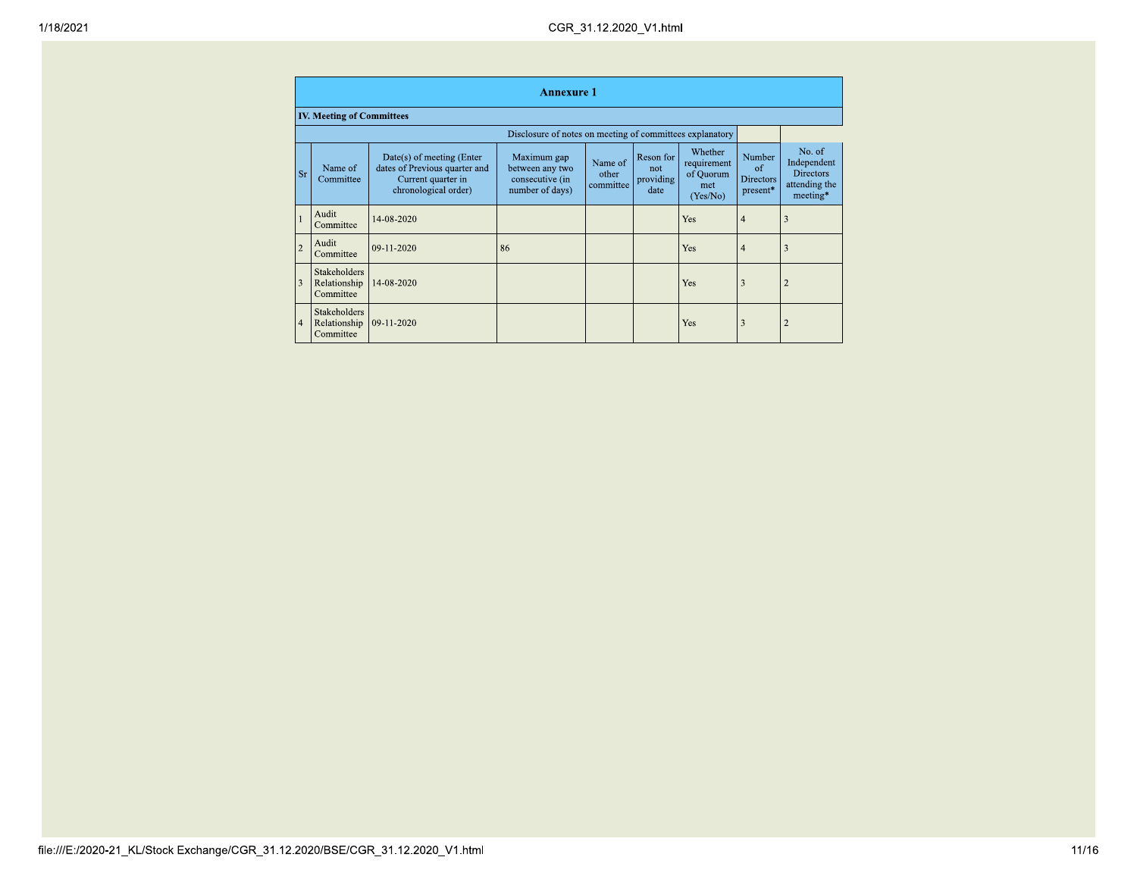|                | <b>Annexure 1</b>                                |                                                                                                          |                                                                      |                               |                                       |                                                        |                                                      |                                                                        |  |  |
|----------------|--------------------------------------------------|----------------------------------------------------------------------------------------------------------|----------------------------------------------------------------------|-------------------------------|---------------------------------------|--------------------------------------------------------|------------------------------------------------------|------------------------------------------------------------------------|--|--|
|                | <b>IV. Meeting of Committees</b>                 |                                                                                                          |                                                                      |                               |                                       |                                                        |                                                      |                                                                        |  |  |
|                |                                                  |                                                                                                          | Disclosure of notes on meeting of committees explanatory             |                               |                                       |                                                        |                                                      |                                                                        |  |  |
| <b>Sr</b>      | Name of<br>Committee                             | Date(s) of meeting (Enter<br>dates of Previous quarter and<br>Current quarter in<br>chronological order) | Maximum gap<br>between any two<br>consecutive (in<br>number of days) | Name of<br>other<br>committee | Reson for<br>not<br>providing<br>date | Whether<br>requirement<br>of Quorum<br>met<br>(Yes/No) | Number<br>$\alpha$ f<br><b>Directors</b><br>present* | No. of<br>Independent<br><b>Directors</b><br>attending the<br>meeting* |  |  |
|                | Audit<br>Committee                               | 14-08-2020                                                                                               |                                                                      |                               |                                       | Yes                                                    | $\overline{4}$                                       |                                                                        |  |  |
| $\overline{2}$ | Audit<br>Committee                               | 09-11-2020                                                                                               | 86                                                                   |                               |                                       | Yes                                                    | $\overline{4}$                                       |                                                                        |  |  |
| 3              | <b>Stakeholders</b><br>Relationship<br>Committee | 14-08-2020                                                                                               |                                                                      |                               |                                       | Yes                                                    | 3                                                    |                                                                        |  |  |
| $\overline{4}$ | <b>Stakeholders</b><br>Relationship<br>Committee | 09-11-2020                                                                                               |                                                                      |                               |                                       | Yes                                                    | 3                                                    |                                                                        |  |  |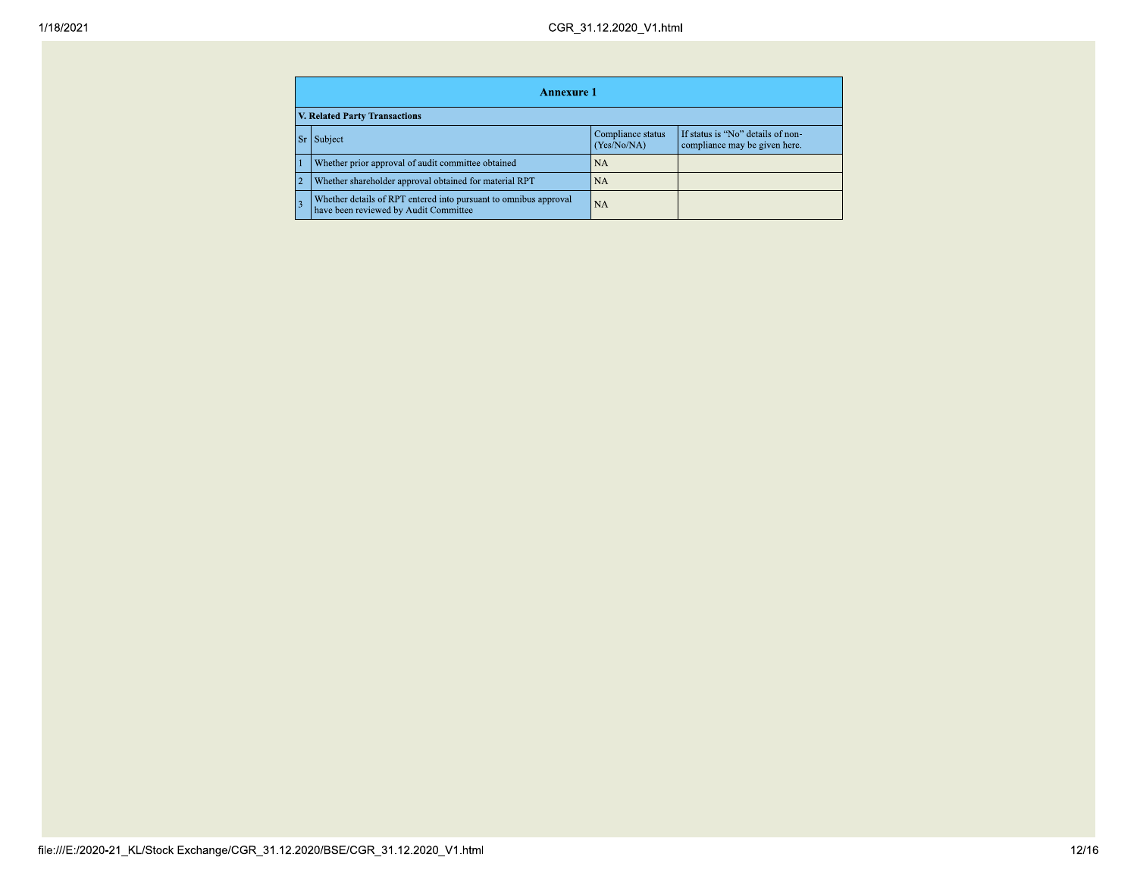|                                                                                                                                | Annexure 1                                                                                                |           |  |  |  |  |
|--------------------------------------------------------------------------------------------------------------------------------|-----------------------------------------------------------------------------------------------------------|-----------|--|--|--|--|
|                                                                                                                                | <b>V. Related Party Transactions</b>                                                                      |           |  |  |  |  |
| Compliance status<br>If status is "No" details of non-<br><b>Sr</b><br>Subject<br>(Yes/No/NA)<br>compliance may be given here. |                                                                                                           |           |  |  |  |  |
|                                                                                                                                | Whether prior approval of audit committee obtained                                                        | <b>NA</b> |  |  |  |  |
|                                                                                                                                | Whether shareholder approval obtained for material RPT                                                    | <b>NA</b> |  |  |  |  |
|                                                                                                                                | Whether details of RPT entered into pursuant to omnibus approval<br>have been reviewed by Audit Committee | <b>NA</b> |  |  |  |  |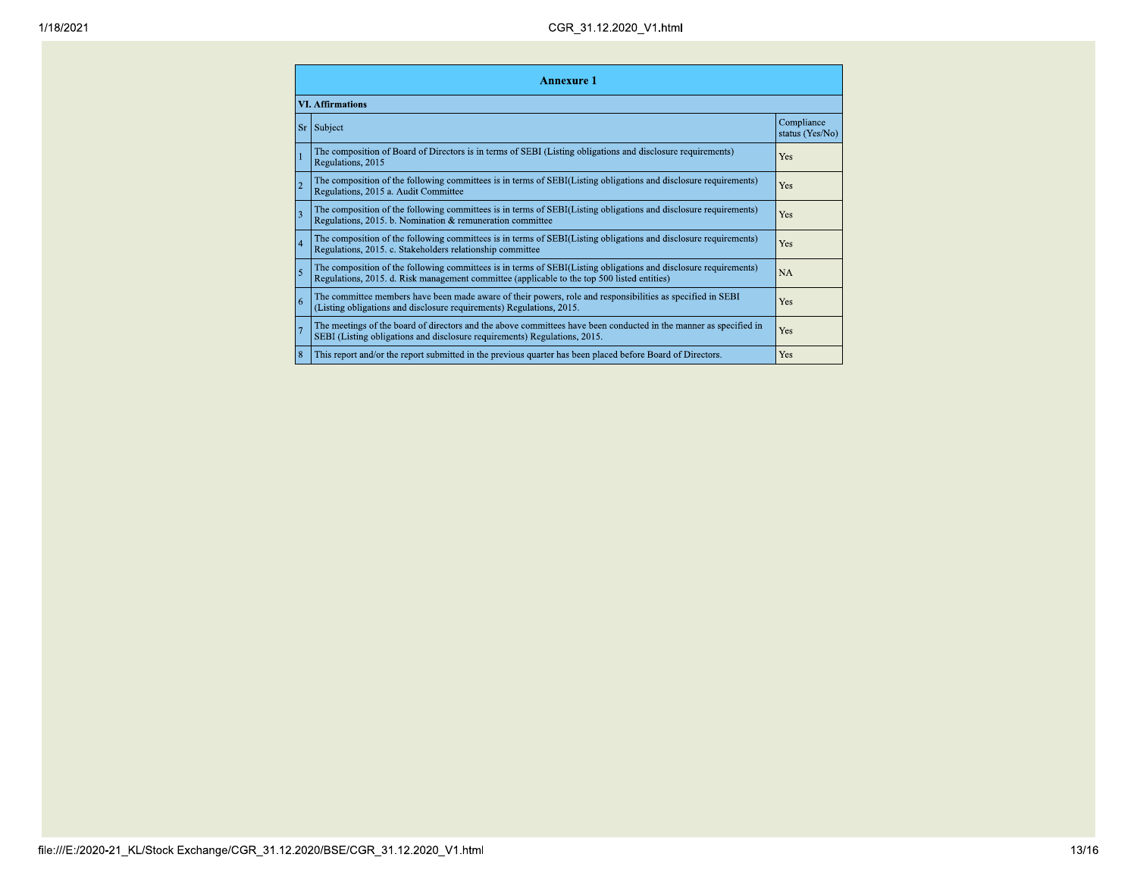|                         | <b>Annexure 1</b>                                                                                                                                                                                               |                               |  |  |  |
|-------------------------|-----------------------------------------------------------------------------------------------------------------------------------------------------------------------------------------------------------------|-------------------------------|--|--|--|
| <b>VI. Affirmations</b> |                                                                                                                                                                                                                 |                               |  |  |  |
| <b>Sr</b>               | Subject                                                                                                                                                                                                         | Compliance<br>status (Yes/No) |  |  |  |
|                         | The composition of Board of Directors is in terms of SEBI (Listing obligations and disclosure requirements)<br>Regulations, 2015                                                                                | Yes                           |  |  |  |
| $\overline{2}$          | The composition of the following committees is in terms of SEBI(Listing obligations and disclosure requirements)<br>Regulations, 2015 a. Audit Committee                                                        | Yes                           |  |  |  |
| $\overline{3}$          | The composition of the following committees is in terms of SEBI(Listing obligations and disclosure requirements)<br>Regulations, 2015. b. Nomination & remuneration committee                                   | Yes                           |  |  |  |
| $\vert$ 4               | The composition of the following committees is in terms of SEBI(Listing obligations and disclosure requirements)<br>Regulations, 2015. c. Stakeholders relationship committee                                   | Yes                           |  |  |  |
| 5                       | The composition of the following committees is in terms of SEBI(Listing obligations and disclosure requirements)<br>Regulations, 2015. d. Risk management committee (applicable to the top 500 listed entities) | <b>NA</b>                     |  |  |  |
| <b>6</b>                | The committee members have been made aware of their powers, role and responsibilities as specified in SEBI<br>(Listing obligations and disclosure requirements) Regulations, 2015.                              | Yes                           |  |  |  |
|                         | The meetings of the board of directors and the above committees have been conducted in the manner as specified in<br>SEBI (Listing obligations and disclosure requirements) Regulations, 2015.                  | Yes                           |  |  |  |
| $\overline{8}$          | This report and/or the report submitted in the previous quarter has been placed before Board of Directors.                                                                                                      | Yes                           |  |  |  |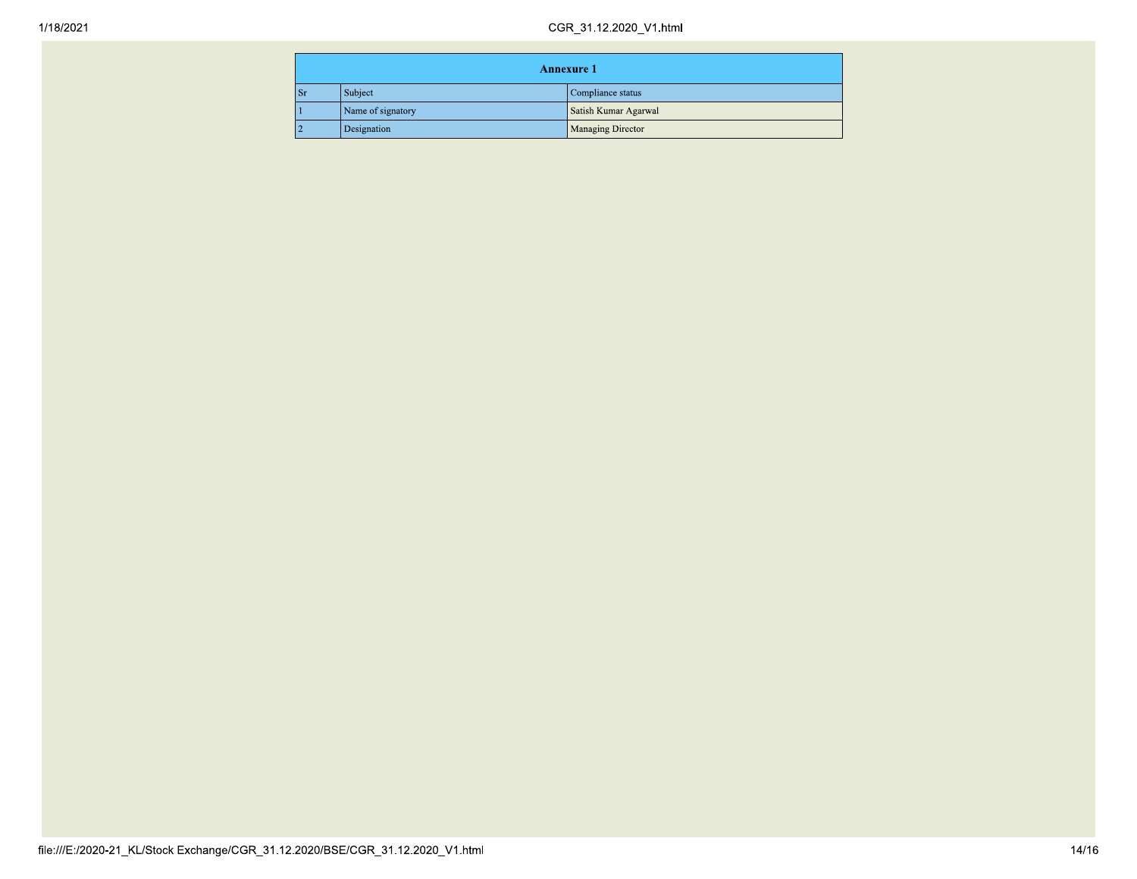| <b>Annexure 1</b> |                   |                      |
|-------------------|-------------------|----------------------|
| -Sr               | Subject           | Compliance status    |
|                   | Name of signatory | Satish Kumar Agarwal |
|                   | Designation       | Managing Director    |